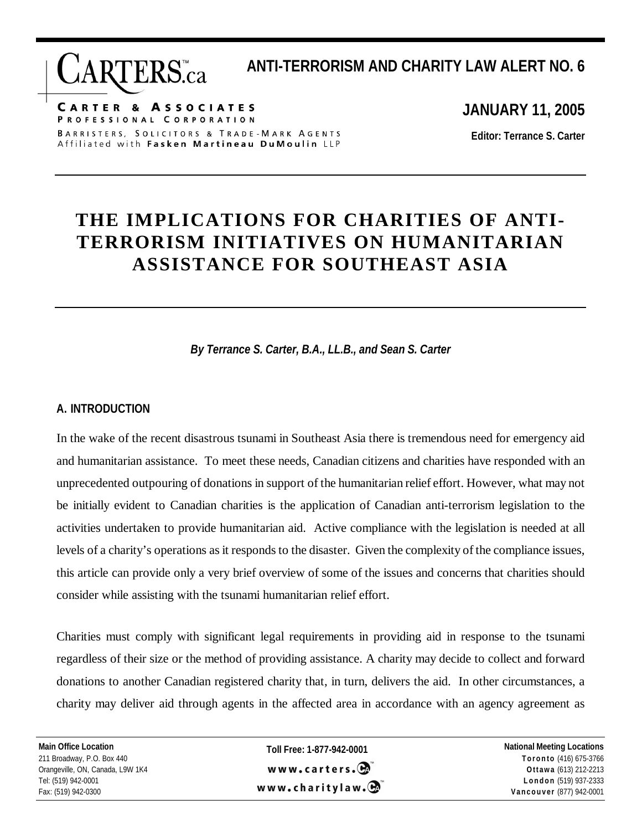**CARTER & ASSOCIATES** PROFESSIONAL CORPORATION BARRISTERS, SOLICITORS & TRADE-MARK AGENTS Affiliated with Fasken Martineau DuMoulin LLP

**JANUARY 11, 2005** 

**ANTI-TERRORISM AND CHARITY LAW ALERT NO. 6** 

**Editor: Terrance S. Carter** 

## **THE IMPLICATIONS FOR CHARITIES OF ANTI-TERRORISM INITIATIVES ON HUMANITARIAN ASSISTANCE FOR SOUTHEAST ASIA**

*By Terrance S. Carter, B.A., LL.B., and Sean S. Carter* 

## **A. INTRODUCTION**

In the wake of the recent disastrous tsunami in Southeast Asia there is tremendous need for emergency aid and humanitarian assistance. To meet these needs, Canadian citizens and charities have responded with an unprecedented outpouring of donations in support of the humanitarian relief effort. However, what may not be initially evident to Canadian charities is the application of Canadian anti-terrorism legislation to the activities undertaken to provide humanitarian aid. Active compliance with the legislation is needed at all levels of a charity's operations as it responds to the disaster. Given the complexity of the compliance issues, this article can provide only a very brief overview of some of the issues and concerns that charities should consider while assisting with the tsunami humanitarian relief effort.

Charities must comply with significant legal requirements in providing aid in response to the tsunami regardless of their size or the method of providing assistance. A charity may decide to collect and forward donations to another Canadian registered charity that, in turn, delivers the aid. In other circumstances, a charity may deliver aid through agents in the affected area in accordance with an agency agreement as

 **Main Office Location**  211 Broadway, P.O. Box 440 Orangeville, ON, Canada, L9W 1K4 Tel: (519) 942-0001 Fax: (519) 942-0300

**Toll Free: 1-877-942-0001**  www.carters. $\mathbf{\Theta}$ www.charitylaw. $\mathbf{\Theta}$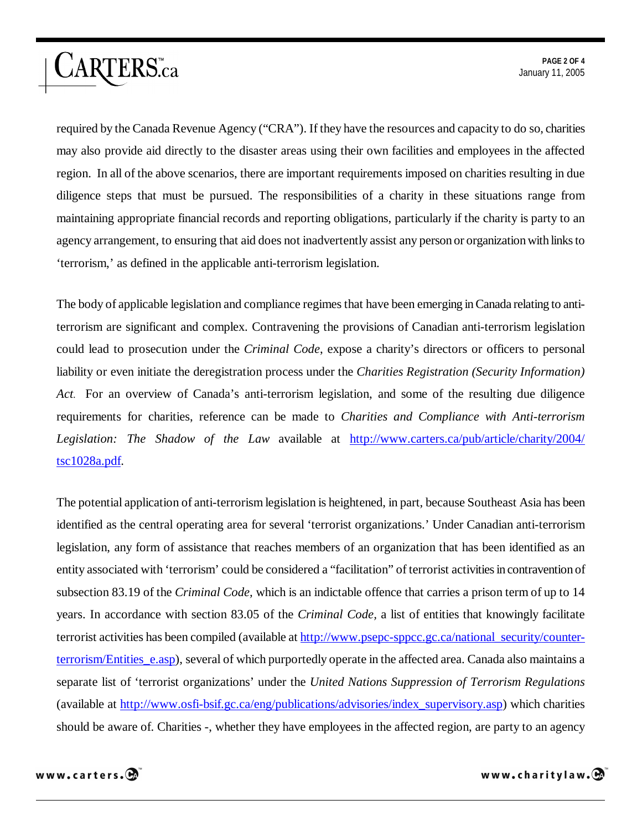required by the Canada Revenue Agency ("CRA"). If they have the resources and capacity to do so, charities may also provide aid directly to the disaster areas using their own facilities and employees in the affected region. In all of the above scenarios, there are important requirements imposed on charities resulting in due diligence steps that must be pursued. The responsibilities of a charity in these situations range from maintaining appropriate financial records and reporting obligations, particularly if the charity is party to an agency arrangement, to ensuring that aid does not inadvertently assist any person or organization with links to 'terrorism,' as defined in the applicable anti-terrorism legislation.

The body of applicable legislation and compliance regimes that have been emerging in Canada relating to antiterrorism are significant and complex. Contravening the provisions of Canadian anti-terrorism legislation could lead to prosecution under the *Criminal Code*, expose a charity's directors or officers to personal liability or even initiate the deregistration process under the *Charities Registration (Security Information) Act.* For an overview of Canada's anti-terrorism legislation, and some of the resulting due diligence requirements for charities, reference can be made to *Charities and Compliance with Anti-terrorism Legislation: The Shadow of the Law* available at http://www.carters.ca/pub/article/charity/2004/ tsc1028a.pdf.

The potential application of anti-terrorism legislation is heightened, in part, because Southeast Asia has been identified as the central operating area for several 'terrorist organizations.' Under Canadian anti-terrorism legislation, any form of assistance that reaches members of an organization that has been identified as an entity associated with 'terrorism' could be considered a "facilitation" of terrorist activities in contravention of subsection 83.19 of the *Criminal Code,* which is an indictable offence that carries a prison term of up to 14 years. In accordance with section 83.05 of the *Criminal Code,* a list of entities that knowingly facilitate terrorist activities has been compiled (available at http://www.psepc-sppcc.gc.ca/national\_security/counterterrorism/Entities\_e.asp), several of which purportedly operate in the affected area. Canada also maintains a separate list of 'terrorist organizations' under the *United Nations Suppression of Terrorism Regulations*  (available at http://www.osfi-bsif.gc.ca/eng/publications/advisories/index\_supervisory.asp) which charities should be aware of. Charities -, whether they have employees in the affected region, are party to an agency



ARTERS.ca

www.charitylaw. $\mathbf{\Theta}$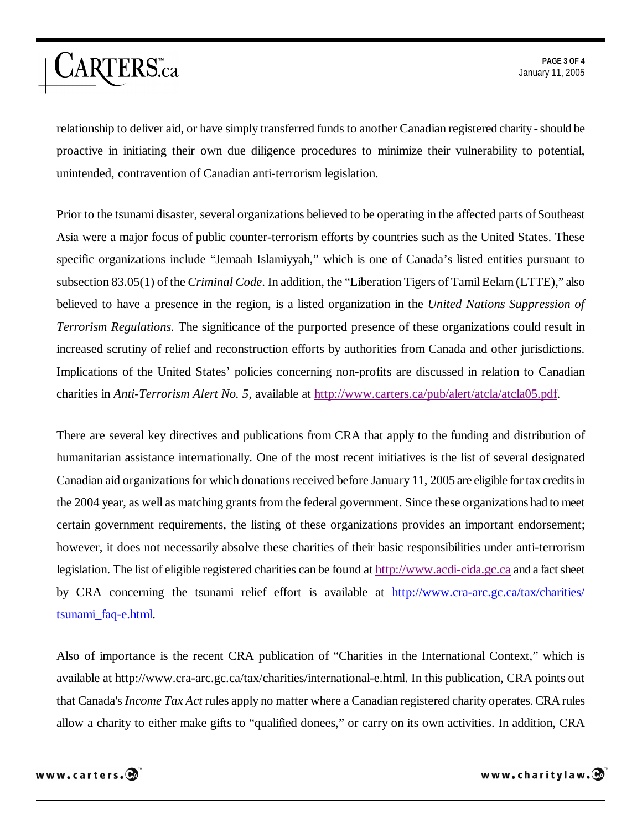relationship to deliver aid, or have simply transferred funds to another Canadian registered charity - should be proactive in initiating their own due diligence procedures to minimize their vulnerability to potential, unintended, contravention of Canadian anti-terrorism legislation.

Prior to the tsunami disaster, several organizations believed to be operating in the affected parts of Southeast Asia were a major focus of public counter-terrorism efforts by countries such as the United States. These specific organizations include "Jemaah Islamiyyah," which is one of Canada's listed entities pursuant to subsection 83.05(1) of the *Criminal Code*. In addition, the "Liberation Tigers of Tamil Eelam (LTTE)," also believed to have a presence in the region, is a listed organization in the *United Nations Suppression of Terrorism Regulations.* The significance of the purported presence of these organizations could result in increased scrutiny of relief and reconstruction efforts by authorities from Canada and other jurisdictions. Implications of the United States' policies concerning non-profits are discussed in relation to Canadian charities in *Anti-Terrorism Alert No. 5,* available at http://www.carters.ca/pub/alert/atcla/atcla05.pdf.

There are several key directives and publications from CRA that apply to the funding and distribution of humanitarian assistance internationally. One of the most recent initiatives is the list of several designated Canadian aid organizations for which donations received before January 11, 2005 are eligible for tax credits in the 2004 year, as well as matching grants from the federal government. Since these organizations had to meet certain government requirements, the listing of these organizations provides an important endorsement; however, it does not necessarily absolve these charities of their basic responsibilities under anti-terrorism legislation. The list of eligible registered charities can be found at http://www.acdi-cida.gc.ca and a fact sheet by CRA concerning the tsunami relief effort is available at http://www.cra-arc.gc.ca/tax/charities/ tsunami\_faq-e.html.

Also of importance is the recent CRA publication of "Charities in the International Context," which is available at http://www.cra-arc.gc.ca/tax/charities/international-e.html. In this publication, CRA points out that Canada's *Income Tax Act* rules apply no matter where a Canadian registered charity operates. CRA rules allow a charity to either make gifts to "qualified donees," or carry on its own activities. In addition, CRA

ARTERS.ca